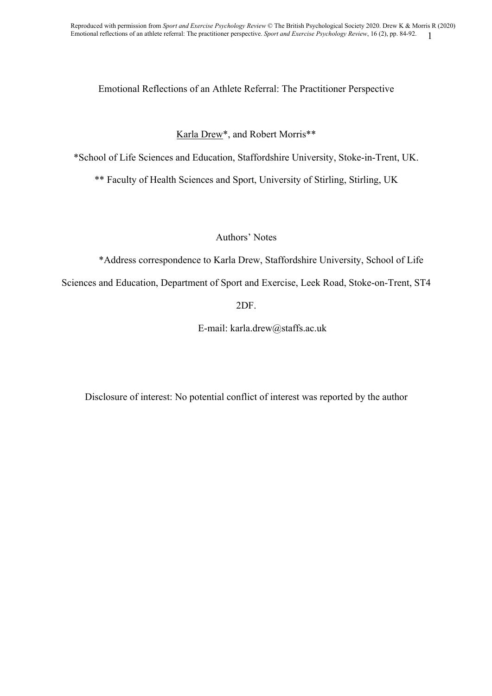# Emotional Reflections of an Athlete Referral: The Practitioner Perspective

# Karla Drew\*, and Robert Morris\*\*

\*School of Life Sciences and Education, Staffordshire University, Stoke-in-Trent, UK.

\*\* Faculty of Health Sciences and Sport, University of Stirling, Stirling, UK

Authors' Notes

\*Address correspondence to Karla Drew, Staffordshire University, School of Life

Sciences and Education, Department of Sport and Exercise, Leek Road, Stoke-on-Trent, ST4

2DF.

E-mail: karla.drew@staffs.ac.uk

Disclosure of interest: No potential conflict of interest was reported by the author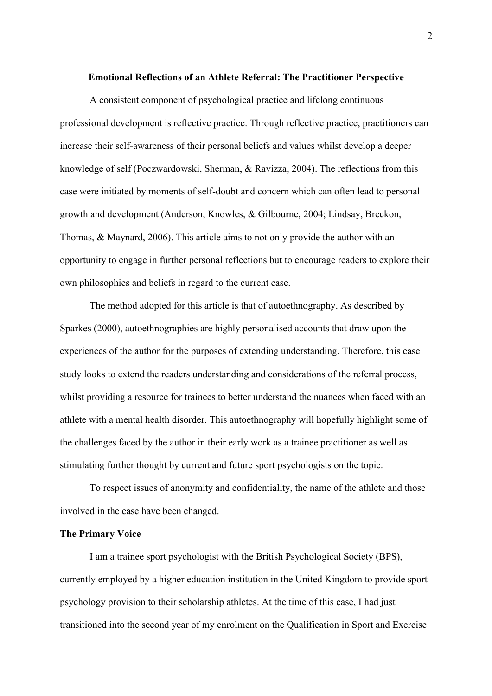### **Emotional Reflections of an Athlete Referral: The Practitioner Perspective**

A consistent component of psychological practice and lifelong continuous professional development is reflective practice. Through reflective practice, practitioners can increase their self-awareness of their personal beliefs and values whilst develop a deeper knowledge of self (Poczwardowski, Sherman, & Ravizza, 2004). The reflections from this case were initiated by moments of self-doubt and concern which can often lead to personal growth and development (Anderson, Knowles, & Gilbourne, 2004; Lindsay, Breckon, Thomas, & Maynard, 2006). This article aims to not only provide the author with an opportunity to engage in further personal reflections but to encourage readers to explore their own philosophies and beliefs in regard to the current case.

The method adopted for this article is that of autoethnography. As described by Sparkes (2000), autoethnographies are highly personalised accounts that draw upon the experiences of the author for the purposes of extending understanding. Therefore, this case study looks to extend the readers understanding and considerations of the referral process, whilst providing a resource for trainees to better understand the nuances when faced with an athlete with a mental health disorder. This autoethnography will hopefully highlight some of the challenges faced by the author in their early work as a trainee practitioner as well as stimulating further thought by current and future sport psychologists on the topic.

To respect issues of anonymity and confidentiality, the name of the athlete and those involved in the case have been changed.

### **The Primary Voice**

I am a trainee sport psychologist with the British Psychological Society (BPS), currently employed by a higher education institution in the United Kingdom to provide sport psychology provision to their scholarship athletes. At the time of this case, I had just transitioned into the second year of my enrolment on the Qualification in Sport and Exercise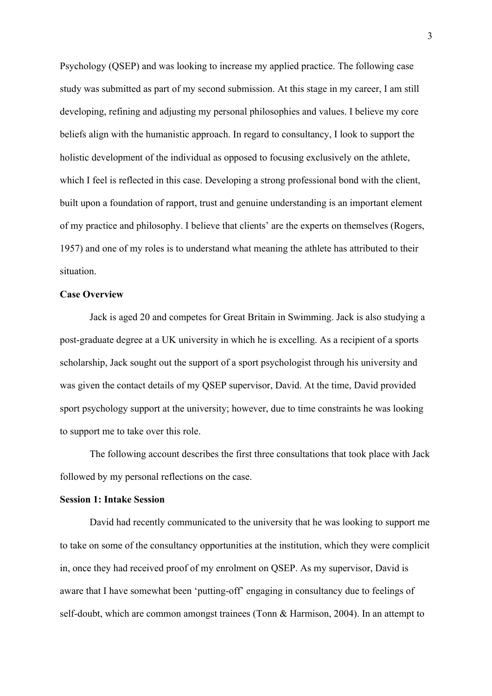Psychology (QSEP) and was looking to increase my applied practice. The following case study was submitted as part of my second submission. At this stage in my career, I am still developing, refining and adjusting my personal philosophies and values. I believe my core beliefs align with the humanistic approach. In regard to consultancy, I look to support the holistic development of the individual as opposed to focusing exclusively on the athlete, which I feel is reflected in this case. Developing a strong professional bond with the client, built upon a foundation of rapport, trust and genuine understanding is an important element of my practice and philosophy. I believe that clients' are the experts on themselves (Rogers, 1957) and one of my roles is to understand what meaning the athlete has attributed to their situation.

### **Case Overview**

Jack is aged 20 and competes for Great Britain in Swimming. Jack is also studying a post-graduate degree at a UK university in which he is excelling. As a recipient of a sports scholarship, Jack sought out the support of a sport psychologist through his university and was given the contact details of my QSEP supervisor, David. At the time, David provided sport psychology support at the university; however, due to time constraints he was looking to support me to take over this role.

The following account describes the first three consultations that took place with Jack followed by my personal reflections on the case.

### **Session 1: Intake Session**

David had recently communicated to the university that he was looking to support me to take on some of the consultancy opportunities at the institution, which they were complicit in, once they had received proof of my enrolment on QSEP. As my supervisor, David is aware that I have somewhat been 'putting-off' engaging in consultancy due to feelings of self-doubt, which are common amongst trainees (Tonn & Harmison, 2004). In an attempt to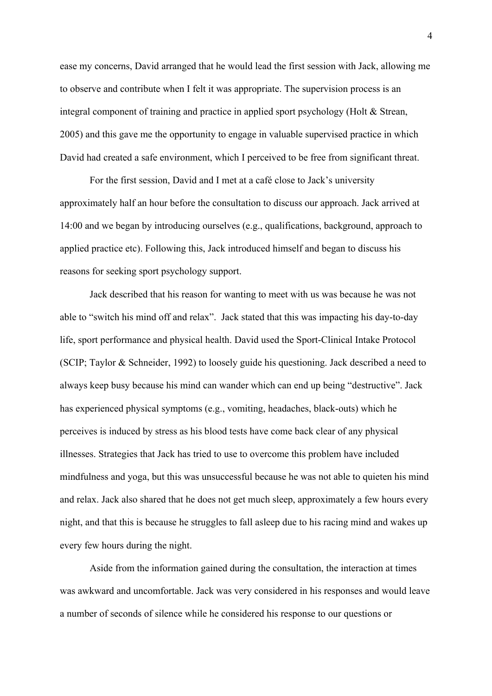ease my concerns, David arranged that he would lead the first session with Jack, allowing me to observe and contribute when I felt it was appropriate. The supervision process is an integral component of training and practice in applied sport psychology (Holt & Strean, 2005) and this gave me the opportunity to engage in valuable supervised practice in which David had created a safe environment, which I perceived to be free from significant threat.

For the first session, David and I met at a café close to Jack's university approximately half an hour before the consultation to discuss our approach. Jack arrived at 14:00 and we began by introducing ourselves (e.g., qualifications, background, approach to applied practice etc). Following this, Jack introduced himself and began to discuss his reasons for seeking sport psychology support.

Jack described that his reason for wanting to meet with us was because he was not able to "switch his mind off and relax". Jack stated that this was impacting his day-to-day life, sport performance and physical health. David used the Sport-Clinical Intake Protocol (SCIP; Taylor & Schneider, 1992) to loosely guide his questioning. Jack described a need to always keep busy because his mind can wander which can end up being "destructive". Jack has experienced physical symptoms (e.g., vomiting, headaches, black-outs) which he perceives is induced by stress as his blood tests have come back clear of any physical illnesses. Strategies that Jack has tried to use to overcome this problem have included mindfulness and yoga, but this was unsuccessful because he was not able to quieten his mind and relax. Jack also shared that he does not get much sleep, approximately a few hours every night, and that this is because he struggles to fall asleep due to his racing mind and wakes up every few hours during the night.

Aside from the information gained during the consultation, the interaction at times was awkward and uncomfortable. Jack was very considered in his responses and would leave a number of seconds of silence while he considered his response to our questions or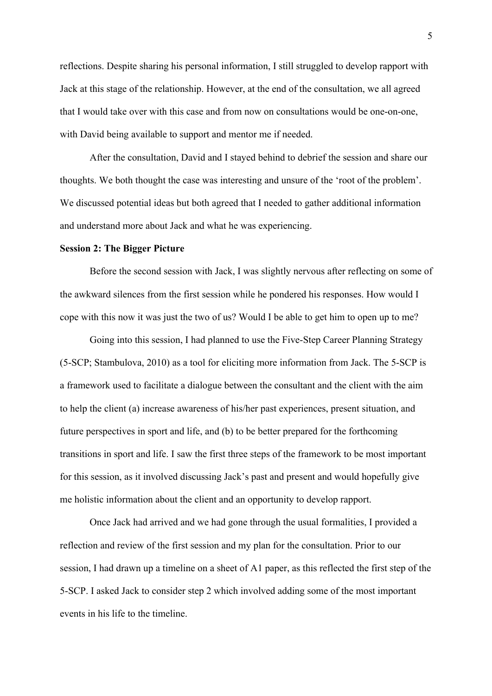reflections. Despite sharing his personal information, I still struggled to develop rapport with Jack at this stage of the relationship. However, at the end of the consultation, we all agreed that I would take over with this case and from now on consultations would be one-on-one, with David being available to support and mentor me if needed.

After the consultation, David and I stayed behind to debrief the session and share our thoughts. We both thought the case was interesting and unsure of the 'root of the problem'. We discussed potential ideas but both agreed that I needed to gather additional information and understand more about Jack and what he was experiencing.

### **Session 2: The Bigger Picture**

Before the second session with Jack, I was slightly nervous after reflecting on some of the awkward silences from the first session while he pondered his responses. How would I cope with this now it was just the two of us? Would I be able to get him to open up to me?

Going into this session, I had planned to use the Five-Step Career Planning Strategy (5-SCP; Stambulova, 2010) as a tool for eliciting more information from Jack. The 5-SCP is a framework used to facilitate a dialogue between the consultant and the client with the aim to help the client (a) increase awareness of his/her past experiences, present situation, and future perspectives in sport and life, and (b) to be better prepared for the forthcoming transitions in sport and life. I saw the first three steps of the framework to be most important for this session, as it involved discussing Jack's past and present and would hopefully give me holistic information about the client and an opportunity to develop rapport.

Once Jack had arrived and we had gone through the usual formalities, I provided a reflection and review of the first session and my plan for the consultation. Prior to our session, I had drawn up a timeline on a sheet of A1 paper, as this reflected the first step of the 5-SCP. I asked Jack to consider step 2 which involved adding some of the most important events in his life to the timeline.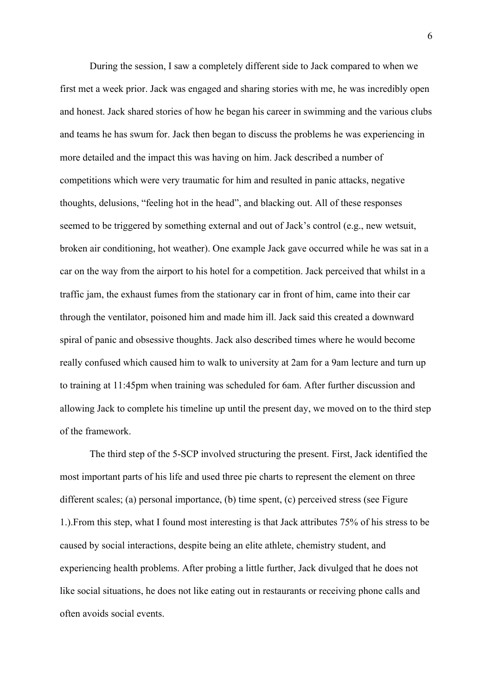During the session, I saw a completely different side to Jack compared to when we first met a week prior. Jack was engaged and sharing stories with me, he was incredibly open and honest. Jack shared stories of how he began his career in swimming and the various clubs and teams he has swum for. Jack then began to discuss the problems he was experiencing in more detailed and the impact this was having on him. Jack described a number of competitions which were very traumatic for him and resulted in panic attacks, negative thoughts, delusions, "feeling hot in the head", and blacking out. All of these responses seemed to be triggered by something external and out of Jack's control (e.g., new wetsuit, broken air conditioning, hot weather). One example Jack gave occurred while he was sat in a car on the way from the airport to his hotel for a competition. Jack perceived that whilst in a traffic jam, the exhaust fumes from the stationary car in front of him, came into their car through the ventilator, poisoned him and made him ill. Jack said this created a downward spiral of panic and obsessive thoughts. Jack also described times where he would become really confused which caused him to walk to university at 2am for a 9am lecture and turn up to training at 11:45pm when training was scheduled for 6am. After further discussion and allowing Jack to complete his timeline up until the present day, we moved on to the third step of the framework.

The third step of the 5-SCP involved structuring the present. First, Jack identified the most important parts of his life and used three pie charts to represent the element on three different scales; (a) personal importance, (b) time spent, (c) perceived stress (see Figure 1.).From this step, what I found most interesting is that Jack attributes 75% of his stress to be caused by social interactions, despite being an elite athlete, chemistry student, and experiencing health problems. After probing a little further, Jack divulged that he does not like social situations, he does not like eating out in restaurants or receiving phone calls and often avoids social events.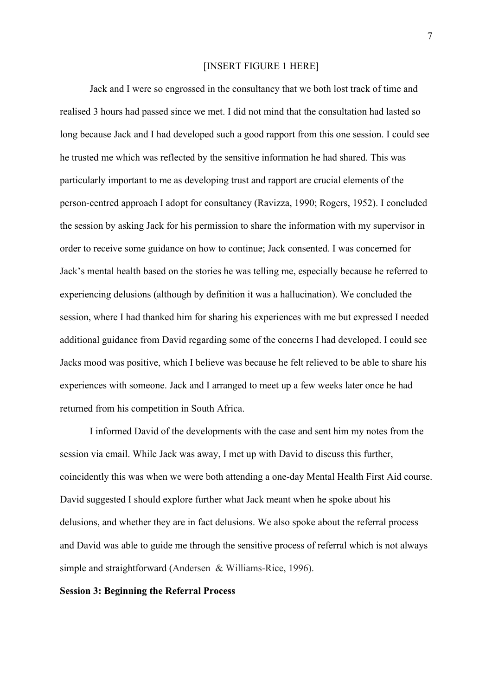#### [INSERT FIGURE 1 HERE]

Jack and I were so engrossed in the consultancy that we both lost track of time and realised 3 hours had passed since we met. I did not mind that the consultation had lasted so long because Jack and I had developed such a good rapport from this one session. I could see he trusted me which was reflected by the sensitive information he had shared. This was particularly important to me as developing trust and rapport are crucial elements of the person-centred approach I adopt for consultancy (Ravizza, 1990; Rogers, 1952). I concluded the session by asking Jack for his permission to share the information with my supervisor in order to receive some guidance on how to continue; Jack consented. I was concerned for Jack's mental health based on the stories he was telling me, especially because he referred to experiencing delusions (although by definition it was a hallucination). We concluded the session, where I had thanked him for sharing his experiences with me but expressed I needed additional guidance from David regarding some of the concerns I had developed. I could see Jacks mood was positive, which I believe was because he felt relieved to be able to share his experiences with someone. Jack and I arranged to meet up a few weeks later once he had returned from his competition in South Africa.

I informed David of the developments with the case and sent him my notes from the session via email. While Jack was away, I met up with David to discuss this further, coincidently this was when we were both attending a one-day Mental Health First Aid course. David suggested I should explore further what Jack meant when he spoke about his delusions, and whether they are in fact delusions. We also spoke about the referral process and David was able to guide me through the sensitive process of referral which is not always simple and straightforward (Andersen & Williams-Rice, 1996).

### **Session 3: Beginning the Referral Process**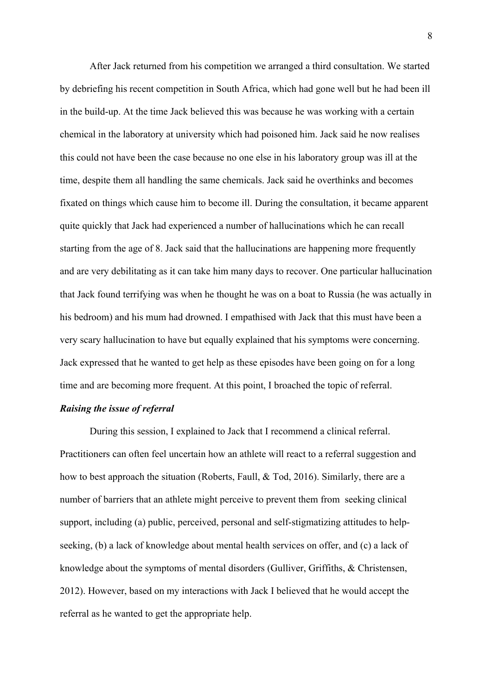After Jack returned from his competition we arranged a third consultation. We started by debriefing his recent competition in South Africa, which had gone well but he had been ill in the build-up. At the time Jack believed this was because he was working with a certain chemical in the laboratory at university which had poisoned him. Jack said he now realises this could not have been the case because no one else in his laboratory group was ill at the time, despite them all handling the same chemicals. Jack said he overthinks and becomes fixated on things which cause him to become ill. During the consultation, it became apparent quite quickly that Jack had experienced a number of hallucinations which he can recall starting from the age of 8. Jack said that the hallucinations are happening more frequently and are very debilitating as it can take him many days to recover. One particular hallucination that Jack found terrifying was when he thought he was on a boat to Russia (he was actually in his bedroom) and his mum had drowned. I empathised with Jack that this must have been a very scary hallucination to have but equally explained that his symptoms were concerning. Jack expressed that he wanted to get help as these episodes have been going on for a long time and are becoming more frequent. At this point, I broached the topic of referral.

#### *Raising the issue of referral*

During this session, I explained to Jack that I recommend a clinical referral. Practitioners can often feel uncertain how an athlete will react to a referral suggestion and how to best approach the situation (Roberts, Faull, & Tod, 2016). Similarly, there are a number of barriers that an athlete might perceive to prevent them from seeking clinical support, including (a) public, perceived, personal and self-stigmatizing attitudes to helpseeking, (b) a lack of knowledge about mental health services on offer, and (c) a lack of knowledge about the symptoms of mental disorders (Gulliver, Griffiths, & Christensen, 2012). However, based on my interactions with Jack I believed that he would accept the referral as he wanted to get the appropriate help.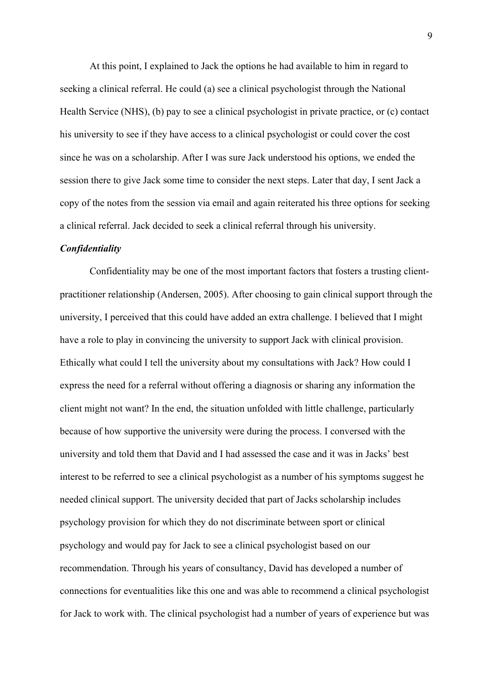At this point, I explained to Jack the options he had available to him in regard to seeking a clinical referral. He could (a) see a clinical psychologist through the National Health Service (NHS), (b) pay to see a clinical psychologist in private practice, or (c) contact his university to see if they have access to a clinical psychologist or could cover the cost since he was on a scholarship. After I was sure Jack understood his options, we ended the session there to give Jack some time to consider the next steps. Later that day, I sent Jack a copy of the notes from the session via email and again reiterated his three options for seeking a clinical referral. Jack decided to seek a clinical referral through his university.

## *Confidentiality*

Confidentiality may be one of the most important factors that fosters a trusting clientpractitioner relationship (Andersen, 2005). After choosing to gain clinical support through the university, I perceived that this could have added an extra challenge. I believed that I might have a role to play in convincing the university to support Jack with clinical provision. Ethically what could I tell the university about my consultations with Jack? How could I express the need for a referral without offering a diagnosis or sharing any information the client might not want? In the end, the situation unfolded with little challenge, particularly because of how supportive the university were during the process. I conversed with the university and told them that David and I had assessed the case and it was in Jacks' best interest to be referred to see a clinical psychologist as a number of his symptoms suggest he needed clinical support. The university decided that part of Jacks scholarship includes psychology provision for which they do not discriminate between sport or clinical psychology and would pay for Jack to see a clinical psychologist based on our recommendation. Through his years of consultancy, David has developed a number of connections for eventualities like this one and was able to recommend a clinical psychologist for Jack to work with. The clinical psychologist had a number of years of experience but was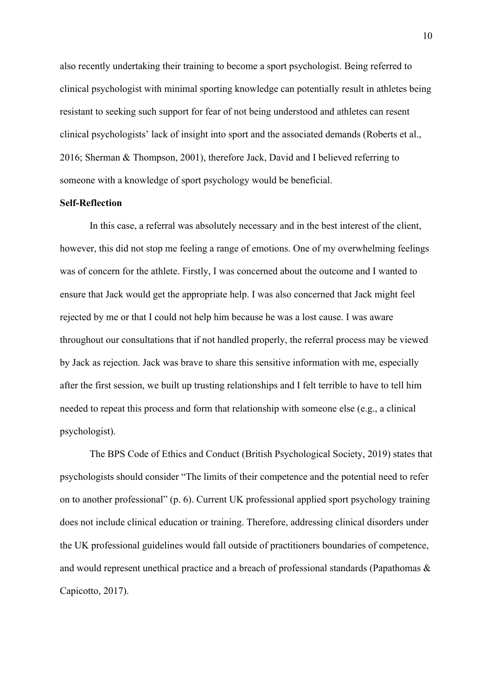also recently undertaking their training to become a sport psychologist. Being referred to clinical psychologist with minimal sporting knowledge can potentially result in athletes being resistant to seeking such support for fear of not being understood and athletes can resent clinical psychologists' lack of insight into sport and the associated demands (Roberts et al., 2016; Sherman & Thompson, 2001), therefore Jack, David and I believed referring to someone with a knowledge of sport psychology would be beneficial.

# **Self-Reflection**

In this case, a referral was absolutely necessary and in the best interest of the client, however, this did not stop me feeling a range of emotions. One of my overwhelming feelings was of concern for the athlete. Firstly, I was concerned about the outcome and I wanted to ensure that Jack would get the appropriate help. I was also concerned that Jack might feel rejected by me or that I could not help him because he was a lost cause. I was aware throughout our consultations that if not handled properly, the referral process may be viewed by Jack as rejection. Jack was brave to share this sensitive information with me, especially after the first session, we built up trusting relationships and I felt terrible to have to tell him needed to repeat this process and form that relationship with someone else (e.g., a clinical psychologist).

The BPS Code of Ethics and Conduct (British Psychological Society, 2019) states that psychologists should consider "The limits of their competence and the potential need to refer on to another professional" (p. 6). Current UK professional applied sport psychology training does not include clinical education or training. Therefore, addressing clinical disorders under the UK professional guidelines would fall outside of practitioners boundaries of competence, and would represent unethical practice and a breach of professional standards (Papathomas & Capicotto, 2017).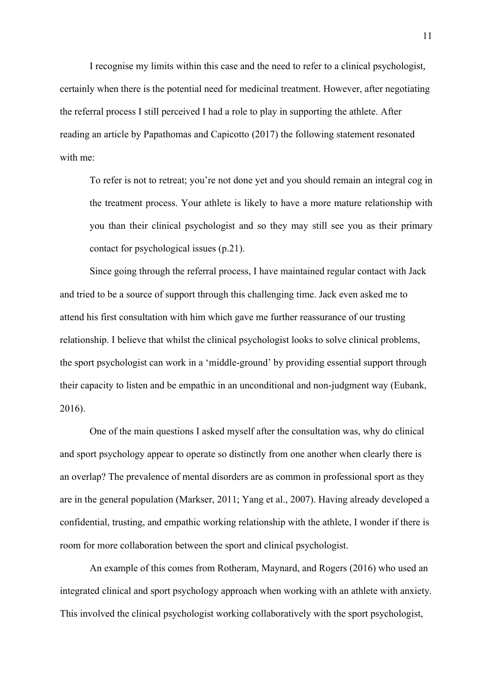I recognise my limits within this case and the need to refer to a clinical psychologist, certainly when there is the potential need for medicinal treatment. However, after negotiating the referral process I still perceived I had a role to play in supporting the athlete. After reading an article by Papathomas and Capicotto (2017) the following statement resonated with me:

To refer is not to retreat; you're not done yet and you should remain an integral cog in the treatment process. Your athlete is likely to have a more mature relationship with you than their clinical psychologist and so they may still see you as their primary contact for psychological issues (p.21).

Since going through the referral process, I have maintained regular contact with Jack and tried to be a source of support through this challenging time. Jack even asked me to attend his first consultation with him which gave me further reassurance of our trusting relationship. I believe that whilst the clinical psychologist looks to solve clinical problems, the sport psychologist can work in a 'middle-ground' by providing essential support through their capacity to listen and be empathic in an unconditional and non-judgment way (Eubank, 2016).

One of the main questions I asked myself after the consultation was, why do clinical and sport psychology appear to operate so distinctly from one another when clearly there is an overlap? The prevalence of mental disorders are as common in professional sport as they are in the general population (Markser, 2011; Yang et al., 2007). Having already developed a confidential, trusting, and empathic working relationship with the athlete, I wonder if there is room for more collaboration between the sport and clinical psychologist.

An example of this comes from Rotheram, Maynard, and Rogers (2016) who used an integrated clinical and sport psychology approach when working with an athlete with anxiety. This involved the clinical psychologist working collaboratively with the sport psychologist,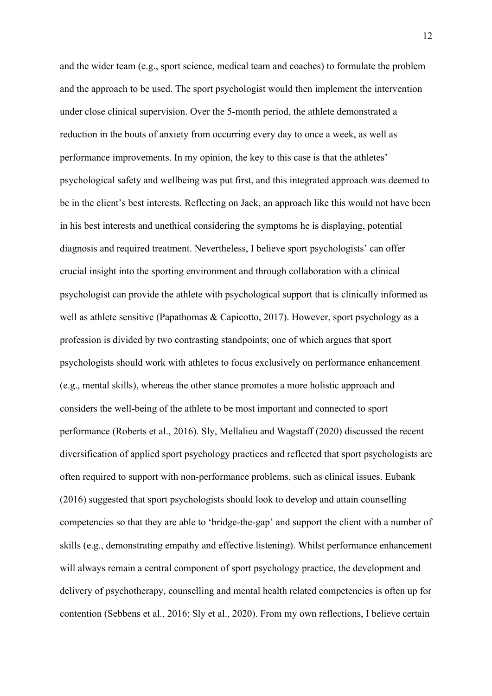and the wider team (e.g., sport science, medical team and coaches) to formulate the problem and the approach to be used. The sport psychologist would then implement the intervention under close clinical supervision. Over the 5-month period, the athlete demonstrated a reduction in the bouts of anxiety from occurring every day to once a week, as well as performance improvements. In my opinion, the key to this case is that the athletes' psychological safety and wellbeing was put first, and this integrated approach was deemed to be in the client's best interests. Reflecting on Jack, an approach like this would not have been in his best interests and unethical considering the symptoms he is displaying, potential diagnosis and required treatment. Nevertheless, I believe sport psychologists' can offer crucial insight into the sporting environment and through collaboration with a clinical psychologist can provide the athlete with psychological support that is clinically informed as well as athlete sensitive (Papathomas & Capicotto, 2017). However, sport psychology as a profession is divided by two contrasting standpoints; one of which argues that sport psychologists should work with athletes to focus exclusively on performance enhancement (e.g., mental skills), whereas the other stance promotes a more holistic approach and considers the well-being of the athlete to be most important and connected to sport performance (Roberts et al., 2016). Sly, Mellalieu and Wagstaff (2020) discussed the recent diversification of applied sport psychology practices and reflected that sport psychologists are often required to support with non-performance problems, such as clinical issues. Eubank (2016) suggested that sport psychologists should look to develop and attain counselling competencies so that they are able to 'bridge-the-gap' and support the client with a number of skills (e.g., demonstrating empathy and effective listening). Whilst performance enhancement will always remain a central component of sport psychology practice, the development and delivery of psychotherapy, counselling and mental health related competencies is often up for contention (Sebbens et al., 2016; Sly et al., 2020). From my own reflections, I believe certain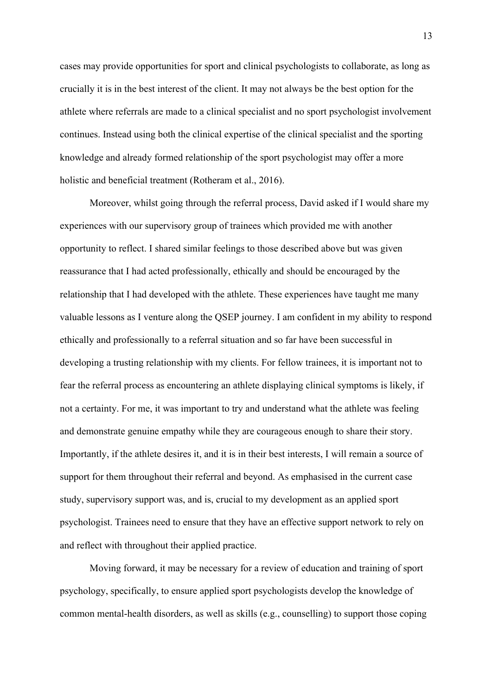cases may provide opportunities for sport and clinical psychologists to collaborate, as long as crucially it is in the best interest of the client. It may not always be the best option for the athlete where referrals are made to a clinical specialist and no sport psychologist involvement continues. Instead using both the clinical expertise of the clinical specialist and the sporting knowledge and already formed relationship of the sport psychologist may offer a more holistic and beneficial treatment (Rotheram et al., 2016).

Moreover, whilst going through the referral process, David asked if I would share my experiences with our supervisory group of trainees which provided me with another opportunity to reflect. I shared similar feelings to those described above but was given reassurance that I had acted professionally, ethically and should be encouraged by the relationship that I had developed with the athlete. These experiences have taught me many valuable lessons as I venture along the QSEP journey. I am confident in my ability to respond ethically and professionally to a referral situation and so far have been successful in developing a trusting relationship with my clients. For fellow trainees, it is important not to fear the referral process as encountering an athlete displaying clinical symptoms is likely, if not a certainty. For me, it was important to try and understand what the athlete was feeling and demonstrate genuine empathy while they are courageous enough to share their story. Importantly, if the athlete desires it, and it is in their best interests, I will remain a source of support for them throughout their referral and beyond. As emphasised in the current case study, supervisory support was, and is, crucial to my development as an applied sport psychologist. Trainees need to ensure that they have an effective support network to rely on and reflect with throughout their applied practice.

Moving forward, it may be necessary for a review of education and training of sport psychology, specifically, to ensure applied sport psychologists develop the knowledge of common mental-health disorders, as well as skills (e.g., counselling) to support those coping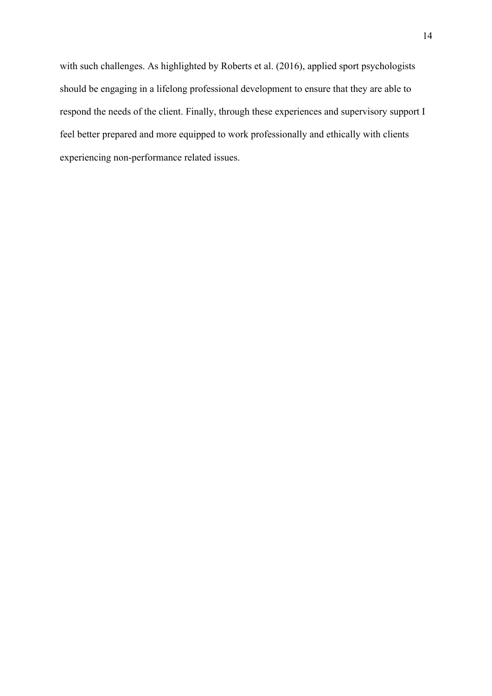with such challenges. As highlighted by Roberts et al. (2016), applied sport psychologists should be engaging in a lifelong professional development to ensure that they are able to respond the needs of the client. Finally, through these experiences and supervisory support I feel better prepared and more equipped to work professionally and ethically with clients experiencing non-performance related issues.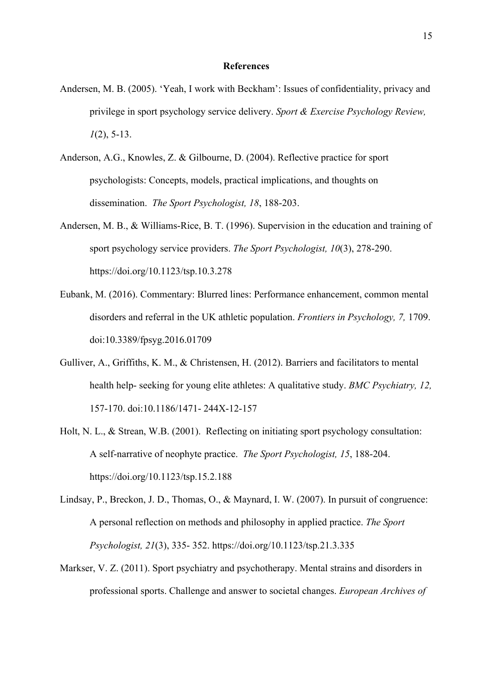### **References**

- Andersen, M. B. (2005). 'Yeah, I work with Beckham': Issues of confidentiality, privacy and privilege in sport psychology service delivery. *Sport & Exercise Psychology Review, 1*(2), 5-13.
- Anderson, A.G., Knowles, Z. & Gilbourne, D. (2004). Reflective practice for sport psychologists: Concepts, models, practical implications, and thoughts on dissemination. *The Sport Psychologist, 18*, 188-203.
- Andersen, M. B., & Williams-Rice, B. T. (1996). Supervision in the education and training of sport psychology service providers. *The Sport Psychologist, 10*(3), 278-290. https://doi.org/10.1123/tsp.10.3.278
- Eubank, M. (2016). Commentary: Blurred lines: Performance enhancement, common mental disorders and referral in the UK athletic population. *Frontiers in Psychology, 7,* 1709. doi:10.3389/fpsyg.2016.01709
- Gulliver, A., Griffiths, K. M., & Christensen, H. (2012). Barriers and facilitators to mental health help- seeking for young elite athletes: A qualitative study. *BMC Psychiatry, 12,* 157-170. doi:10.1186/1471- 244X-12-157
- Holt, N. L., & Strean, W.B. (2001). Reflecting on initiating sport psychology consultation: A self-narrative of neophyte practice. *The Sport Psychologist, 15*, 188-204. https://doi.org/10.1123/tsp.15.2.188
- Lindsay, P., Breckon, J. D., Thomas, O., & Maynard, I. W. (2007). In pursuit of congruence: A personal reflection on methods and philosophy in applied practice. *The Sport Psychologist, 21*(3), 335- 352. https://doi.org/10.1123/tsp.21.3.335
- Markser, V. Z. (2011). Sport psychiatry and psychotherapy. Mental strains and disorders in professional sports. Challenge and answer to societal changes. *European Archives of*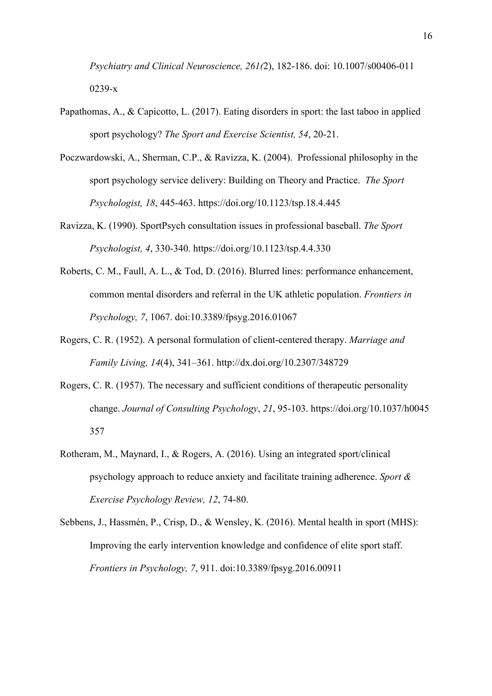*Psychiatry and Clinical Neuroscience, 261(*2), 182-186. doi: 10.1007/s00406-011 0239-x

- Papathomas, A., & Capicotto, L. (2017). Eating disorders in sport: the last taboo in applied sport psychology? *The Sport and Exercise Scientist, 54*, 20-21.
- Poczwardowski, A., Sherman, C.P., & Ravizza, K. (2004). Professional philosophy in the sport psychology service delivery: Building on Theory and Practice. *The Sport Psychologist, 18*, 445-463. https://doi.org/10.1123/tsp.18.4.445
- Ravizza, K. (1990). SportPsych consultation issues in professional baseball. *The Sport Psychologist, 4*, 330-340. https://doi.org/10.1123/tsp.4.4.330
- Roberts, C. M., Faull, A. L., & Tod, D. (2016). Blurred lines: performance enhancement, common mental disorders and referral in the UK athletic population. *Frontiers in Psychology, 7*, 1067. doi:10.3389/fpsyg.2016.01067
- Rogers, C. R. (1952). A personal formulation of client-centered therapy. *Marriage and Family Living, 14*(4), 341–361. http://dx.doi.org/10.2307/348729
- Rogers, C. R. (1957). The necessary and sufficient conditions of therapeutic personality change. *Journal of Consulting Psychology*, *21*, 95-103. https://doi.org/10.1037/h0045 357
- Rotheram, M., Maynard, I., & Rogers, A. (2016). Using an integrated sport/clinical psychology approach to reduce anxiety and facilitate training adherence. *Sport & Exercise Psychology Review, 12*, 74-80.
- Sebbens, J., Hassmén, P., Crisp, D., & Wensley, K. (2016). Mental health in sport (MHS): Improving the early intervention knowledge and confidence of elite sport staff. *Frontiers in Psychology, 7*, 911. doi:10.3389/fpsyg.2016.00911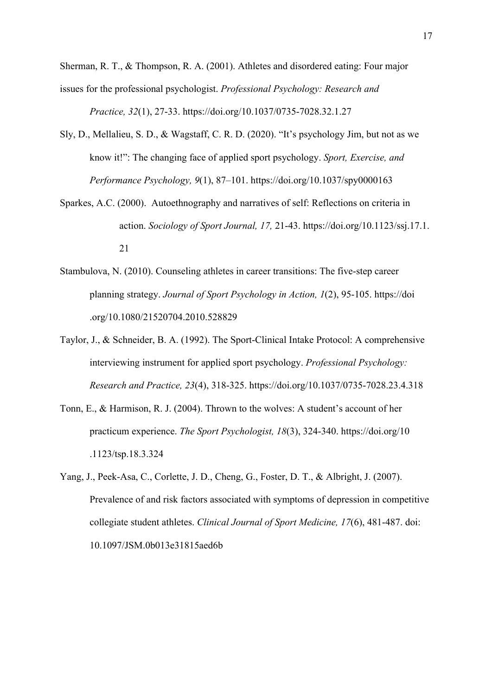Sherman, R. T., & Thompson, R. A. (2001). Athletes and disordered eating: Four major issues for the professional psychologist. *Professional Psychology: Research and Practice, 32*(1), 27-33. https://doi.org/10.1037/0735-7028.32.1.27

- Sly, D., Mellalieu, S. D., & Wagstaff, C. R. D. (2020). "It's psychology Jim, but not as we know it!": The changing face of applied sport psychology. *Sport, Exercise, and Performance Psychology, 9*(1), 87–101. https://doi.org/10.1037/spy0000163
- Sparkes, A.C. (2000). Autoethnography and narratives of self: Reflections on criteria in action. *Sociology of Sport Journal, 17,* 21-43. https://doi.org/10.1123/ssj.17.1. 21
- Stambulova, N. (2010). Counseling athletes in career transitions: The five-step career planning strategy. *Journal of Sport Psychology in Action, 1*(2), 95-105. https://doi .org/10.1080/21520704.2010.528829
- Taylor, J., & Schneider, B. A. (1992). The Sport-Clinical Intake Protocol: A comprehensive interviewing instrument for applied sport psychology. *Professional Psychology: Research and Practice, 23*(4), 318-325. https://doi.org/10.1037/0735-7028.23.4.318
- Tonn, E., & Harmison, R. J. (2004). Thrown to the wolves: A student's account of her practicum experience. *The Sport Psychologist, 18*(3), 324-340. https://doi.org/10 .1123/tsp.18.3.324
- Yang, J., Peek-Asa, C., Corlette, J. D., Cheng, G., Foster, D. T., & Albright, J. (2007). Prevalence of and risk factors associated with symptoms of depression in competitive collegiate student athletes. *Clinical Journal of Sport Medicine, 17*(6), 481-487. doi: 10.1097/JSM.0b013e31815aed6b